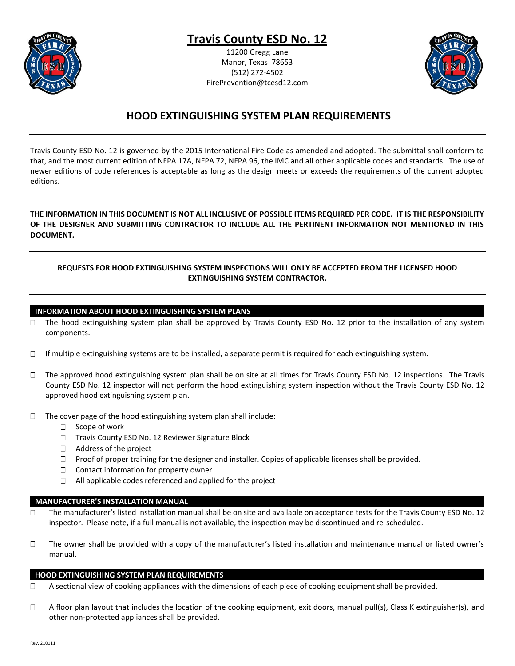

# **Travis County ESD No. 12**

11200 Gregg Lane Manor, Texas 78653 (512) 272-4502 FirePrevention@tcesd12.com



# **HOOD EXTINGUISHING SYSTEM PLAN REQUIREMENTS**

Travis County ESD No. 12 is governed by the 2015 International Fire Code as amended and adopted. The submittal shall conform to that, and the most current edition of NFPA 17A, NFPA 72, NFPA 96, the IMC and all other applicable codes and standards. The use of newer editions of code references is acceptable as long as the design meets or exceeds the requirements of the current adopted editions.

## **THE INFORMATION IN THIS DOCUMENT IS NOT ALL INCLUSIVE OF POSSIBLE ITEMS REQUIRED PER CODE. IT IS THE RESPONSIBILITY OF THE DESIGNER AND SUBMITTING CONTRACTOR TO INCLUDE ALL THE PERTINENT INFORMATION NOT MENTIONED IN THIS DOCUMENT.**

# **REQUESTS FOR HOOD EXTINGUISHING SYSTEM INSPECTIONS WILL ONLY BE ACCEPTED FROM THE LICENSED HOOD EXTINGUISHING SYSTEM CONTRACTOR.**

#### **INFORMATION ABOUT HOOD EXTINGUISHING SYSTEM PLANS**

- $\Box$  The hood extinguishing system plan shall be approved by Travis County ESD No. 12 prior to the installation of any system components.
- $\Box$  If multiple extinguishing systems are to be installed, a separate permit is required for each extinguishing system.
- $\Box$  The approved hood extinguishing system plan shall be on site at all times for Travis County ESD No. 12 inspections. The Travis County ESD No. 12 inspector will not perform the hood extinguishing system inspection without the Travis County ESD No. 12 approved hood extinguishing system plan.
- $\Box$  The cover page of the hood extinguishing system plan shall include:
	- $\Box$  Scope of work
	- □ Travis County ESD No. 12 Reviewer Signature Block
	- □ Address of the project
	- $\Box$  Proof of proper training for the designer and installer. Copies of applicable licenses shall be provided.
	- $\Box$  Contact information for property owner
	- □ All applicable codes referenced and applied for the project

## **MANUFACTURER'S INSTALLATION MANUAL**

- $\Box$  The manufacturer's listed installation manual shall be on site and available on acceptance tests for the Travis County ESD No. 12 inspector. Please note, if a full manual is not available, the inspection may be discontinued and re-scheduled.
- The owner shall be provided with a copy of the manufacturer's listed installation and maintenance manual or listed owner's manual.

#### **HOOD EXTINGUISHING SYSTEM PLAN REQUIREMENTS**

- $\Box$  A sectional view of cooking appliances with the dimensions of each piece of cooking equipment shall be provided.
- $\Box$  A floor plan layout that includes the location of the cooking equipment, exit doors, manual pull(s), Class K extinguisher(s), and other non-protected appliances shall be provided.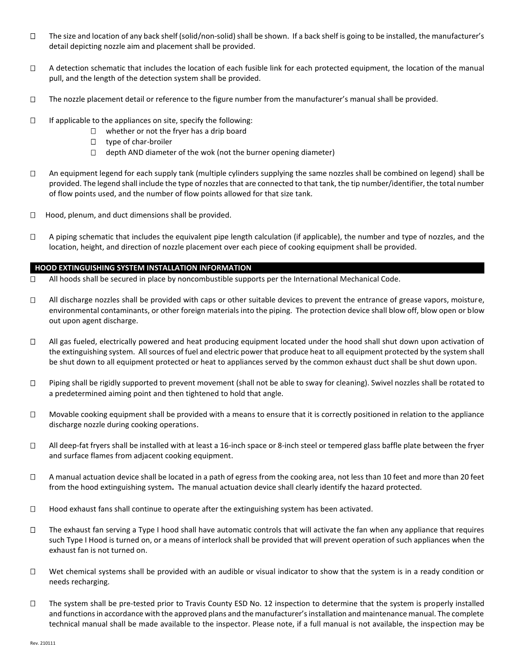- $\Box$  The size and location of any back shelf (solid/non-solid) shall be shown. If a back shelf is going to be installed, the manufacturer's detail depicting nozzle aim and placement shall be provided.
- $\Box$  A detection schematic that includes the location of each fusible link for each protected equipment, the location of the manual pull, and the length of the detection system shall be provided.
- $\Box$  The nozzle placement detail or reference to the figure number from the manufacturer's manual shall be provided.
- $\Box$  If applicable to the appliances on site, specify the following:
	- $\Box$  whether or not the fryer has a drip board
	- type of char-broiler
	- $\Box$  depth AND diameter of the wok (not the burner opening diameter)
- $\Box$  An equipment legend for each supply tank (multiple cylinders supplying the same nozzles shall be combined on legend) shall be provided. The legend shall include the type of nozzles that are connected to that tank, the tip number/identifier, the total number of flow points used, and the number of flow points allowed for that size tank.
- $\Box$  Hood, plenum, and duct dimensions shall be provided.
- $\Box$  A piping schematic that includes the equivalent pipe length calculation (if applicable), the number and type of nozzles, and the location, height, and direction of nozzle placement over each piece of cooking equipment shall be provided.

#### **HOOD EXTINGUISHING SYSTEM INSTALLATION INFORMATION**

- $\Box$  All hoods shall be secured in place by noncombustible supports per the International Mechanical Code.
- All discharge nozzles shall be provided with caps or other suitable devices to prevent the entrance of grease vapors, moisture, environmental contaminants, or other foreign materials into the piping. The protection device shall blow off, blow open or blow out upon agent discharge.
- $\Box$  All gas fueled, electrically powered and heat producing equipment located under the hood shall shut down upon activation of the extinguishing system. All sources of fuel and electric power that produce heat to all equipment protected by the system shall be shut down to all equipment protected or heat to appliances served by the common exhaust duct shall be shut down upon.
- $\Box$  Piping shall be rigidly supported to prevent movement (shall not be able to sway for cleaning). Swivel nozzles shall be rotated to a predetermined aiming point and then tightened to hold that angle.
- $\Box$  Movable cooking equipment shall be provided with a means to ensure that it is correctly positioned in relation to the appliance discharge nozzle during cooking operations.
- $\Box$  All deep-fat fryers shall be installed with at least a 16-inch space or 8-inch steel or tempered glass baffle plate between the fryer and surface flames from adjacent cooking equipment.
- $\Box$  A manual actuation device shall be located in a path of egress from the cooking area, not less than 10 feet and more than 20 feet from the hood extinguishing system**.** The manual actuation device shall clearly identify the hazard protected.
- $\Box$  Hood exhaust fans shall continue to operate after the extinguishing system has been activated.
- $\Box$  The exhaust fan serving a Type I hood shall have automatic controls that will activate the fan when any appliance that requires such Type I Hood is turned on, or a means of interlock shall be provided that will prevent operation of such appliances when the exhaust fan is not turned on.
- $\Box$  Wet chemical systems shall be provided with an audible or visual indicator to show that the system is in a ready condition or needs recharging.
- $\Box$  The system shall be pre-tested prior to Travis County ESD No. 12 inspection to determine that the system is properly installed and functions in accordance with the approved plans and the manufacturer's installation and maintenance manual. The complete technical manual shall be made available to the inspector. Please note, if a full manual is not available, the inspection may be